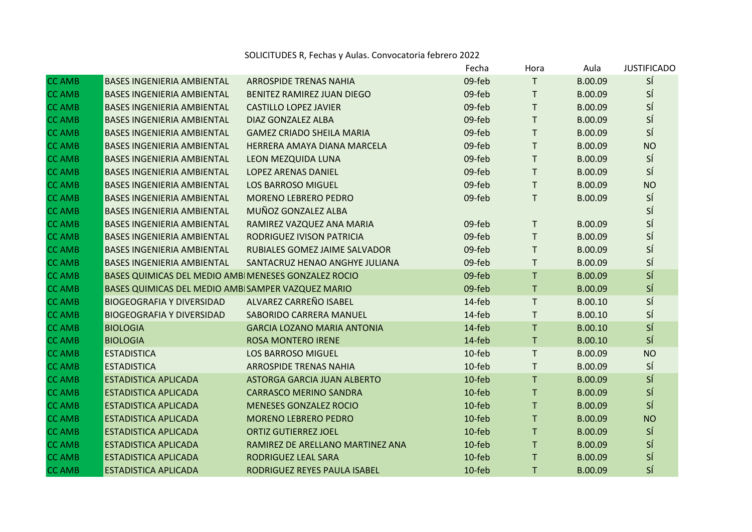## SOLICITUDES R, Fechas y Aulas. Convocatoria febrero 2022

|               |                                                      |                                    | Fecha     | Hora         | Aula    | <b>JUSTIFICADO</b> |
|---------------|------------------------------------------------------|------------------------------------|-----------|--------------|---------|--------------------|
| <b>CC AMB</b> | <b>BASES INGENIERIA AMBIENTAL</b>                    | <b>ARROSPIDE TRENAS NAHIA</b>      | 09-feb    | $\mathsf{T}$ | B.00.09 | SÍ                 |
| <b>CC AMB</b> | <b>BASES INGENIERIA AMBIENTAL</b>                    | BENITEZ RAMIREZ JUAN DIEGO         | 09-feb    | T            | B.00.09 | SÍ                 |
| <b>CC AMB</b> | <b>BASES INGENIERIA AMBIENTAL</b>                    | <b>CASTILLO LOPEZ JAVIER</b>       | 09-feb    | T            | B.00.09 | SÍ                 |
| <b>CC AMB</b> | <b>BASES INGENIERIA AMBIENTAL</b>                    | DIAZ GONZALEZ ALBA                 | 09-feb    | T            | B.00.09 | SÍ                 |
| <b>CC AMB</b> | <b>BASES INGENIERIA AMBIENTAL</b>                    | <b>GAMEZ CRIADO SHEILA MARIA</b>   | 09-feb    | T            | B.00.09 | SÍ                 |
| <b>CC AMB</b> | <b>BASES INGENIERIA AMBIENTAL</b>                    | HERRERA AMAYA DIANA MARCELA        | 09-feb    | $\top$       | B.00.09 | <b>NO</b>          |
| <b>CC AMB</b> | <b>BASES INGENIERIA AMBIENTAL</b>                    | <b>LEON MEZQUIDA LUNA</b>          | 09-feb    | $\mathsf{T}$ | B.00.09 | SÍ                 |
| <b>CC AMB</b> | <b>BASES INGENIERIA AMBIENTAL</b>                    | <b>LOPEZ ARENAS DANIEL</b>         | 09-feb    | $\mathsf{T}$ | B.00.09 | SÍ                 |
| <b>CC AMB</b> | <b>BASES INGENIERIA AMBIENTAL</b>                    | <b>LOS BARROSO MIGUEL</b>          | 09-feb    | $\mathsf T$  | B.00.09 | <b>NO</b>          |
| <b>CC AMB</b> | <b>BASES INGENIERIA AMBIENTAL</b>                    | <b>MORENO LEBRERO PEDRO</b>        | 09-feb    | $\mathsf{T}$ | B.00.09 | SÍ                 |
| <b>CC AMB</b> | <b>BASES INGENIERIA AMBIENTAL</b>                    | MUÑOZ GONZALEZ ALBA                |           |              |         | SÍ                 |
| <b>CC AMB</b> | <b>BASES INGENIERIA AMBIENTAL</b>                    | RAMIREZ VAZQUEZ ANA MARIA          | 09-feb    | $\mathsf{T}$ | B.00.09 | SÍ                 |
| <b>CC AMB</b> | <b>BASES INGENIERIA AMBIENTAL</b>                    | RODRIGUEZ IVISON PATRICIA          | 09-feb    | $\mathsf{T}$ | B.00.09 | SÍ                 |
| <b>CC AMB</b> | <b>BASES INGENIERIA AMBIENTAL</b>                    | RUBIALES GOMEZ JAIME SALVADOR      | 09-feb    | $\mathsf{T}$ | B.00.09 | SÍ                 |
| <b>CC AMB</b> | <b>BASES INGENIERIA AMBIENTAL</b>                    | SANTACRUZ HENAO ANGHYE JULIANA     | 09-feb    | $\mathsf{T}$ | B.00.09 | SÍ                 |
| <b>CC AMB</b> | BASES QUIMICAS DEL MEDIO AMBI MENESES GONZALEZ ROCIO |                                    | 09-feb    | T            | B.00.09 | SÍ                 |
| <b>CC AMB</b> | BASES QUIMICAS DEL MEDIO AMBISAMPER VAZQUEZ MARIO    |                                    | 09-feb    | $\mathsf{T}$ | B.00.09 | SÍ                 |
| <b>CC AMB</b> | <b>BIOGEOGRAFIA Y DIVERSIDAD</b>                     | ALVAREZ CARREÑO ISABEL             | 14-feb    | $\mathsf{T}$ | B.00.10 | SÍ                 |
| <b>CC AMB</b> | <b>BIOGEOGRAFIA Y DIVERSIDAD</b>                     | SABORIDO CARRERA MANUEL            | 14-feb    | $\mathsf{T}$ | B.00.10 | SÍ                 |
| <b>CC AMB</b> | <b>BIOLOGIA</b>                                      | <b>GARCIA LOZANO MARIA ANTONIA</b> | 14-feb    | $\mathsf T$  | B.00.10 | SÍ                 |
| <b>CC AMB</b> | <b>BIOLOGIA</b>                                      | <b>ROSA MONTERO IRENE</b>          | 14-feb    | T            | B.00.10 | SÍ                 |
| <b>CC AMB</b> | <b>ESTADISTICA</b>                                   | <b>LOS BARROSO MIGUEL</b>          | 10-feb    | T            | B.00.09 | <b>NO</b>          |
| <b>CC AMB</b> | <b>ESTADISTICA</b>                                   | <b>ARROSPIDE TRENAS NAHIA</b>      | 10-feb    | $\mathsf T$  | B.00.09 | SÍ                 |
| <b>CC AMB</b> | <b>ESTADISTICA APLICADA</b>                          | <b>ASTORGA GARCIA JUAN ALBERTO</b> | 10-feb    | $\mathsf T$  | B.00.09 | SÍ                 |
| <b>CC AMB</b> | <b>ESTADISTICA APLICADA</b>                          | <b>CARRASCO MERINO SANDRA</b>      | 10-feb    | T            | B.00.09 | SÍ                 |
| <b>CC AMB</b> | <b>ESTADISTICA APLICADA</b>                          | <b>MENESES GONZALEZ ROCIO</b>      | 10-feb    | $\mathsf T$  | B.00.09 | SÍ                 |
| <b>CC AMB</b> | <b>ESTADISTICA APLICADA</b>                          | <b>MORENO LEBRERO PEDRO</b>        | 10-feb    | $\mathsf T$  | B.00.09 | <b>NO</b>          |
| <b>CC AMB</b> | <b>ESTADISTICA APLICADA</b>                          | <b>ORTIZ GUTIERREZ JOEL</b>        | 10-feb    | T            | B.00.09 | SÍ                 |
| <b>CC AMB</b> | <b>ESTADISTICA APLICADA</b>                          | RAMIREZ DE ARELLANO MARTINEZ ANA   | $10$ -feb | $\mathsf{T}$ | B.00.09 | SÍ                 |
| <b>CC AMB</b> | <b>ESTADISTICA APLICADA</b>                          | RODRIGUEZ LEAL SARA                | $10$ -feb | $\mathsf{T}$ | B.00.09 | SÍ                 |
| <b>CC AMB</b> | <b>ESTADISTICA APLICADA</b>                          | RODRIGUEZ REYES PAULA ISABEL       | 10-feb    | $\mathsf{T}$ | B.00.09 | SÍ                 |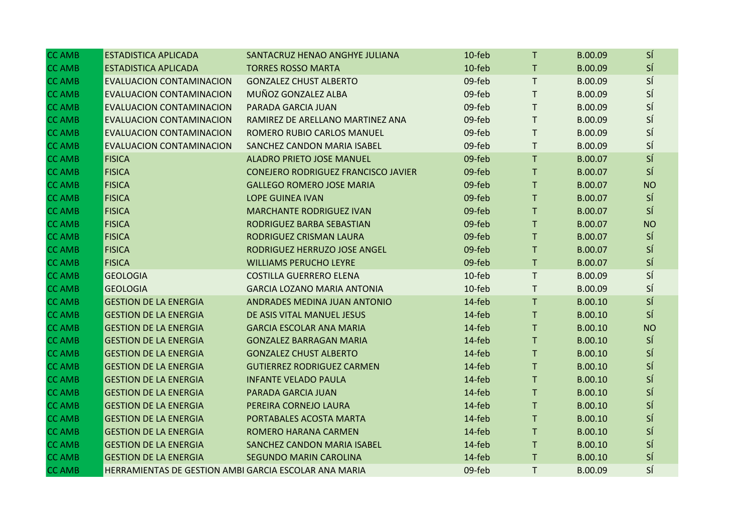| <b>CC AMB</b> | <b>ESTADISTICA APLICADA</b>                           | SANTACRUZ HENAO ANGHYE JULIANA      | 10-feb | T.           | B.00.09 | SÍ        |
|---------------|-------------------------------------------------------|-------------------------------------|--------|--------------|---------|-----------|
| <b>CC AMB</b> | <b>ESTADISTICA APLICADA</b>                           | <b>TORRES ROSSO MARTA</b>           | 10-feb | T.           | B.00.09 | SÍ        |
| <b>CC AMB</b> | EVALUACION CONTAMINACION                              | <b>GONZALEZ CHUST ALBERTO</b>       | 09-feb | T.           | B.00.09 | SÍ        |
| <b>CC AMB</b> | EVALUACION CONTAMINACION                              | MUÑOZ GONZALEZ ALBA                 | 09-feb | T.           | B.00.09 | SÍ        |
| <b>CC AMB</b> | <b>EVALUACION CONTAMINACION</b>                       | PARADA GARCIA JUAN                  | 09-feb | $\mathsf T$  | B.00.09 | SÍ        |
| <b>CC AMB</b> | <b>EVALUACION CONTAMINACION</b>                       | RAMIREZ DE ARELLANO MARTINEZ ANA    | 09-feb | T.           | B.00.09 | SÍ        |
| <b>CC AMB</b> | EVALUACION CONTAMINACION                              | ROMERO RUBIO CARLOS MANUEL          | 09-feb | $\mathsf{T}$ | B.00.09 | SÍ        |
| <b>CC AMB</b> | EVALUACION CONTAMINACION                              | SANCHEZ CANDON MARIA ISABEL         | 09-feb | T.           | B.00.09 | SÍ        |
| <b>CC AMB</b> | <b>FISICA</b>                                         | <b>ALADRO PRIETO JOSE MANUEL</b>    | 09-feb | T.           | B.00.07 | SÍ        |
| <b>CC AMB</b> | <b>FISICA</b>                                         | CONEJERO RODRIGUEZ FRANCISCO JAVIER | 09-feb | T.           | B.00.07 | SÍ        |
| <b>CC AMB</b> | <b>FISICA</b>                                         | <b>GALLEGO ROMERO JOSE MARIA</b>    | 09-feb | $\mathsf T$  | B.00.07 | <b>NO</b> |
| <b>CC AMB</b> | <b>FISICA</b>                                         | <b>LOPE GUINEA IVAN</b>             | 09-feb | T.           | B.00.07 | SÍ        |
| <b>CC AMB</b> | <b>FISICA</b>                                         | <b>MARCHANTE RODRIGUEZ IVAN</b>     | 09-feb | $\mathsf T$  | B.00.07 | SÍ        |
| <b>CC AMB</b> | <b>FISICA</b>                                         | RODRIGUEZ BARBA SEBASTIAN           | 09-feb | $\mathsf T$  | B.00.07 | <b>NO</b> |
| <b>CC AMB</b> | <b>FISICA</b>                                         | RODRIGUEZ CRISMAN LAURA             | 09-feb | T.           | B.00.07 | SÍ        |
| <b>CC AMB</b> | <b>FISICA</b>                                         | RODRIGUEZ HERRUZO JOSE ANGEL        | 09-feb | $\mathsf T$  | B.00.07 | SÍ        |
| <b>CC AMB</b> | <b>FISICA</b>                                         | <b>WILLIAMS PERUCHO LEYRE</b>       | 09-feb | $\mathsf T$  | B.00.07 | SÍ        |
| <b>CC AMB</b> | <b>GEOLOGIA</b>                                       | <b>COSTILLA GUERRERO ELENA</b>      | 10-feb | $\mathsf T$  | B.00.09 | SÍ        |
| <b>CC AMB</b> | <b>GEOLOGIA</b>                                       | <b>GARCIA LOZANO MARIA ANTONIA</b>  | 10-feb | T.           | B.00.09 | SÍ        |
| <b>CC AMB</b> | <b>GESTION DE LA ENERGIA</b>                          | ANDRADES MEDINA JUAN ANTONIO        | 14-feb | $\mathsf T$  | B.00.10 | SÍ        |
| <b>CC AMB</b> | <b>GESTION DE LA ENERGIA</b>                          | DE ASIS VITAL MANUEL JESUS          | 14-feb | T.           | B.00.10 | SÍ        |
| <b>CC AMB</b> | <b>GESTION DE LA ENERGIA</b>                          | <b>GARCIA ESCOLAR ANA MARIA</b>     | 14-feb | $\mathsf T$  | B.00.10 | <b>NO</b> |
| <b>CC AMB</b> | <b>GESTION DE LA ENERGIA</b>                          | <b>GONZALEZ BARRAGAN MARIA</b>      | 14-feb | $\mathsf T$  | B.00.10 | SÍ        |
| <b>CC AMB</b> | <b>GESTION DE LA ENERGIA</b>                          | <b>GONZALEZ CHUST ALBERTO</b>       | 14-feb | T.           | B.00.10 | SÍ        |
| <b>CC AMB</b> | <b>GESTION DE LA ENERGIA</b>                          | <b>GUTIERREZ RODRIGUEZ CARMEN</b>   | 14-feb | T.           | B.00.10 | SÍ        |
| <b>CC AMB</b> | <b>GESTION DE LA ENERGIA</b>                          | <b>INFANTE VELADO PAULA</b>         | 14-feb | T.           | B.00.10 | SÍ        |
| <b>CC AMB</b> | <b>GESTION DE LA ENERGIA</b>                          | PARADA GARCIA JUAN                  | 14-feb | T.           | B.00.10 | SÍ        |
| <b>CC AMB</b> | <b>GESTION DE LA ENERGIA</b>                          | PEREIRA CORNEJO LAURA               | 14-feb | $\mathsf T$  | B.00.10 | SÍ        |
| <b>CC AMB</b> | <b>GESTION DE LA ENERGIA</b>                          | PORTABALES ACOSTA MARTA             | 14-feb | $\mathsf T$  | B.00.10 | SÍ        |
| <b>CC AMB</b> | <b>GESTION DE LA ENERGIA</b>                          | ROMERO HARANA CARMEN                | 14-feb | $\mathsf T$  | B.00.10 | SÍ        |
| <b>CC AMB</b> | <b>GESTION DE LA ENERGIA</b>                          | SANCHEZ CANDON MARIA ISABEL         | 14-feb | T.           | B.00.10 | SÍ        |
| <b>CC AMB</b> | <b>GESTION DE LA ENERGIA</b>                          | <b>SEGUNDO MARIN CAROLINA</b>       | 14-feb | T            | B.00.10 | SÍ        |
| <b>CC AMB</b> | HERRAMIENTAS DE GESTION AMBI GARCIA ESCOLAR ANA MARIA |                                     | 09-feb | T.           | B.00.09 | SÍ        |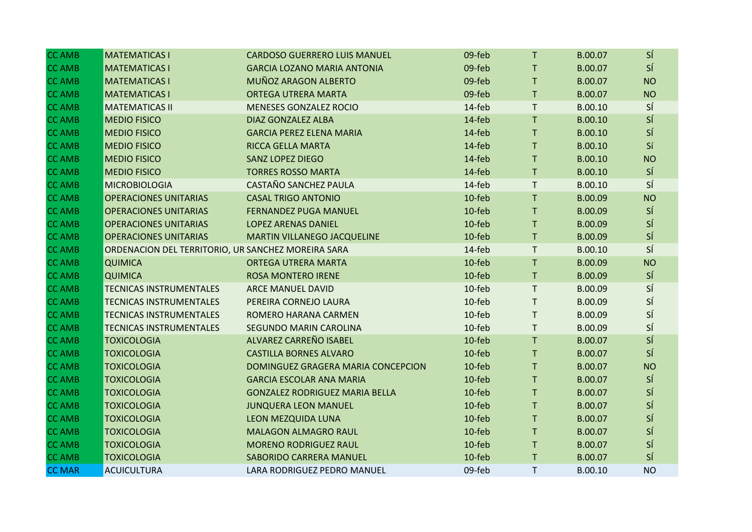| <b>CC AMB</b> | <b>MATEMATICAS I</b>                               | <b>CARDOSO GUERRERO LUIS MANUEL</b>   | 09-feb    | $\mathsf{T}$ | B.00.07 | SÍ        |
|---------------|----------------------------------------------------|---------------------------------------|-----------|--------------|---------|-----------|
| <b>CC AMB</b> | <b>MATEMATICAS I</b>                               | <b>GARCIA LOZANO MARIA ANTONIA</b>    | 09-feb    | T.           | B.00.07 | SÍ        |
| <b>CC AMB</b> | <b>MATEMATICAS I</b>                               | MUÑOZ ARAGON ALBERTO                  | 09-feb    | T            | B.00.07 | <b>NO</b> |
| <b>CC AMB</b> | <b>MATEMATICAS I</b>                               | ORTEGA UTRERA MARTA                   | 09-feb    | T.           | B.00.07 | <b>NO</b> |
| <b>CC AMB</b> | <b>MATEMATICAS II</b>                              | MENESES GONZALEZ ROCIO                | 14-feb    | T.           | B.00.10 | SÍ        |
| <b>CC AMB</b> | <b>MEDIO FISICO</b>                                | DIAZ GONZALEZ ALBA                    | 14-feb    | T            | B.00.10 | SÍ        |
| <b>CC AMB</b> | <b>MEDIO FISICO</b>                                | <b>GARCIA PEREZ ELENA MARIA</b>       | 14-feb    | T.           | B.00.10 | SÍ        |
| <b>CC AMB</b> | <b>MEDIO FISICO</b>                                | RICCA GELLA MARTA                     | 14-feb    | T            | B.00.10 | Sí        |
| <b>CC AMB</b> | <b>MEDIO FISICO</b>                                | <b>SANZ LOPEZ DIEGO</b>               | 14-feb    | T            | B.00.10 | <b>NO</b> |
| <b>CC AMB</b> | <b>MEDIO FISICO</b>                                | <b>TORRES ROSSO MARTA</b>             | 14-feb    | T            | B.00.10 | SÍ        |
| <b>CC AMB</b> | <b>MICROBIOLOGIA</b>                               | <b>CASTAÑO SANCHEZ PAULA</b>          | 14-feb    | $\mathsf{T}$ | B.00.10 | SÍ        |
| <b>CC AMB</b> | <b>OPERACIONES UNITARIAS</b>                       | <b>CASAL TRIGO ANTONIO</b>            | 10-feb    | T            | B.00.09 | <b>NO</b> |
| <b>CC AMB</b> | <b>OPERACIONES UNITARIAS</b>                       | <b>FERNANDEZ PUGA MANUEL</b>          | 10-feb    | T.           | B.00.09 | SÍ        |
| <b>CC AMB</b> | <b>OPERACIONES UNITARIAS</b>                       | <b>LOPEZ ARENAS DANIEL</b>            | 10-feb    | T            | B.00.09 | SÍ        |
| <b>CC AMB</b> | <b>OPERACIONES UNITARIAS</b>                       | MARTIN VILLANEGO JACQUELINE           | 10-feb    | T.           | B.00.09 | SÍ        |
| <b>CC AMB</b> | ORDENACION DEL TERRITORIO, UR SANCHEZ MOREIRA SARA |                                       | 14-feb    | T.           | B.00.10 | SÍ        |
| <b>CC AMB</b> | <b>QUIMICA</b>                                     | ORTEGA UTRERA MARTA                   | $10$ -feb | T            | B.00.09 | <b>NO</b> |
| <b>CC AMB</b> | <b>QUIMICA</b>                                     | <b>ROSA MONTERO IRENE</b>             | 10-feb    | $\mathsf T$  | B.00.09 | SÍ        |
| <b>CC AMB</b> | TECNICAS INSTRUMENTALES                            | <b>ARCE MANUEL DAVID</b>              | 10-feb    | T            | B.00.09 | SÍ        |
| <b>CC AMB</b> | <b>TECNICAS INSTRUMENTALES</b>                     | PEREIRA CORNEJO LAURA                 | 10-feb    | T.           | B.00.09 | SÍ        |
| <b>CC AMB</b> | <b>TECNICAS INSTRUMENTALES</b>                     | ROMERO HARANA CARMEN                  | 10-feb    | T.           | B.00.09 | SÍ        |
| <b>CC AMB</b> | <b>TECNICAS INSTRUMENTALES</b>                     | <b>SEGUNDO MARIN CAROLINA</b>         | 10-feb    | T            | B.00.09 | SÍ        |
| <b>CC AMB</b> | <b>TOXICOLOGIA</b>                                 | ALVAREZ CARREÑO ISABEL                | 10-feb    | $\mathsf{T}$ | B.00.07 | SÍ        |
| <b>CC AMB</b> | <b>TOXICOLOGIA</b>                                 | <b>CASTILLA BORNES ALVARO</b>         | $10$ -feb | T            | B.00.07 | SÍ        |
| <b>CC AMB</b> | <b>TOXICOLOGIA</b>                                 | DOMINGUEZ GRAGERA MARIA CONCEPCION    | 10-feb    | T            | B.00.07 | <b>NO</b> |
| <b>CC AMB</b> | <b>TOXICOLOGIA</b>                                 | <b>GARCIA ESCOLAR ANA MARIA</b>       | 10-feb    | T            | B.00.07 | SÍ        |
| <b>CC AMB</b> | <b>TOXICOLOGIA</b>                                 | <b>GONZALEZ RODRIGUEZ MARIA BELLA</b> | 10-feb    | T.           | B.00.07 | SÍ        |
| <b>CC AMB</b> | <b>TOXICOLOGIA</b>                                 | <b>JUNQUERA LEON MANUEL</b>           | 10-feb    | T.           | B.00.07 | SÍ        |
| <b>CC AMB</b> | <b>TOXICOLOGIA</b>                                 | LEON MEZQUIDA LUNA                    | 10-feb    | T            | B.00.07 | SÍ        |
| <b>CC AMB</b> | <b>TOXICOLOGIA</b>                                 | <b>MALAGON ALMAGRO RAUL</b>           | 10-feb    | T.           | B.00.07 | SÍ        |
| <b>CC AMB</b> | <b>TOXICOLOGIA</b>                                 | <b>MORENO RODRIGUEZ RAUL</b>          | 10-feb    | T.           | B.00.07 | SÍ        |
| <b>CC AMB</b> | <b>TOXICOLOGIA</b>                                 | <b>SABORIDO CARRERA MANUEL</b>        | 10-feb    | $\mathsf T$  | B.00.07 | SÍ        |
| <b>CC MAR</b> | <b>ACUICULTURA</b>                                 | LARA RODRIGUEZ PEDRO MANUEL           | 09-feb    | T.           | B.00.10 | <b>NO</b> |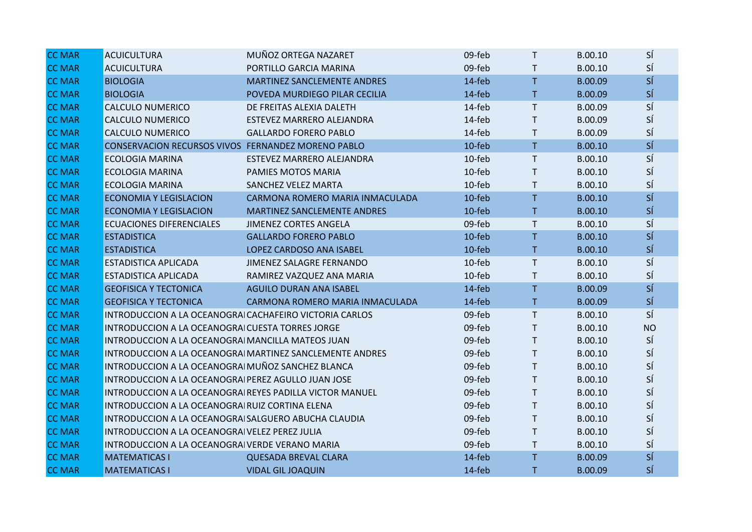| <b>CC MAR</b> | <b>ACUICULTURA</b>                                       | MUÑOZ ORTEGA NAZARET                                     | 09-feb | $\mathsf{T}$ | B.00.10 | SÍ        |
|---------------|----------------------------------------------------------|----------------------------------------------------------|--------|--------------|---------|-----------|
| <b>CC MAR</b> | <b>ACUICULTURA</b>                                       | PORTILLO GARCIA MARINA                                   | 09-feb | $\mathsf{T}$ | B.00.10 | SÍ        |
| <b>CC MAR</b> | <b>BIOLOGIA</b>                                          | MARTINEZ SANCLEMENTE ANDRES                              | 14-feb | T            | B.00.09 | SÍ        |
| <b>CC MAR</b> | <b>BIOLOGIA</b>                                          | POVEDA MURDIEGO PILAR CECILIA                            | 14-feb | T.           | B.00.09 | SÍ        |
| <b>CC MAR</b> | <b>CALCULO NUMERICO</b>                                  | DE FREITAS ALEXIA DALETH                                 | 14-feb | $\mathsf{T}$ | B.00.09 | SÍ        |
| <b>CC MAR</b> | <b>CALCULO NUMERICO</b>                                  | ESTEVEZ MARRERO ALEJANDRA                                | 14-feb | $\mathsf{T}$ | B.00.09 | SÍ        |
| <b>CC MAR</b> | <b>CALCULO NUMERICO</b>                                  | <b>GALLARDO FORERO PABLO</b>                             | 14-feb | $\mathsf{T}$ | B.00.09 | SÍ        |
| <b>CC MAR</b> | CONSERVACION RECURSOS VIVOS FERNANDEZ MORENO PABLO       |                                                          | 10-feb | T.           | B.00.10 | SÍ        |
| <b>CC MAR</b> | <b>ECOLOGIA MARINA</b>                                   | ESTEVEZ MARRERO ALEJANDRA                                | 10-feb | $\mathsf{T}$ | B.00.10 | SÍ        |
| <b>CC MAR</b> | <b>ECOLOGIA MARINA</b>                                   | PAMIES MOTOS MARIA                                       | 10-feb | $\mathsf{T}$ | B.00.10 | SÍ        |
| <b>CC MAR</b> | <b>ECOLOGIA MARINA</b>                                   | <b>SANCHEZ VELEZ MARTA</b>                               | 10-feb | $\mathsf{T}$ | B.00.10 | SÍ        |
| <b>CC MAR</b> | <b>ECONOMIA Y LEGISLACION</b>                            | CARMONA ROMERO MARIA INMACULADA                          | 10-feb | T            | B.00.10 | SÍ        |
| <b>CC MAR</b> | <b>ECONOMIA Y LEGISLACION</b>                            | MARTINEZ SANCLEMENTE ANDRES                              | 10-feb | T.           | B.00.10 | SÍ        |
| <b>CC MAR</b> | <b>ECUACIONES DIFERENCIALES</b>                          | <b>JIMENEZ CORTES ANGELA</b>                             | 09-feb | $\mathsf{T}$ | B.00.10 | SÍ        |
| <b>CC MAR</b> | <b>ESTADISTICA</b>                                       | <b>GALLARDO FORERO PABLO</b>                             | 10-feb | T            | B.00.10 | SÍ        |
| <b>CC MAR</b> | <b>ESTADISTICA</b>                                       | LOPEZ CARDOSO ANA ISABEL                                 | 10-feb | T            | B.00.10 | SÍ        |
| <b>CC MAR</b> | <b>ESTADISTICA APLICADA</b>                              | JIMENEZ SALAGRE FERNANDO                                 | 10-feb | T.           | B.00.10 | SÍ        |
| <b>CC MAR</b> | ESTADISTICA APLICADA                                     | RAMIREZ VAZQUEZ ANA MARIA                                | 10-feb | $\mathsf{T}$ | B.00.10 | SÍ        |
| <b>CC MAR</b> | <b>GEOFISICA Y TECTONICA</b>                             | <b>AGUILO DURAN ANA ISABEL</b>                           | 14-feb | $\mathsf{T}$ | B.00.09 | SÍ        |
| <b>CC MAR</b> | <b>GEOFISICA Y TECTONICA</b>                             | CARMONA ROMERO MARIA INMACULADA                          | 14-feb | T.           | B.00.09 | SÍ        |
| <b>CC MAR</b> | INTRODUCCION A LA OCEANOGRAI CACHAFEIRO VICTORIA CARLOS  |                                                          | 09-feb | $\mathsf{T}$ | B.00.10 | SÍ        |
| <b>CC MAR</b> | INTRODUCCION A LA OCEANOGRAI CUESTA TORRES JORGE         |                                                          | 09-feb | $\mathsf{T}$ | B.00.10 | <b>NO</b> |
| <b>CC MAR</b> | INTRODUCCION A LA OCEANOGRAI MANCILLA MATEOS JUAN        |                                                          | 09-feb | $\mathsf{T}$ | B.00.10 | SÍ        |
| <b>CC MAR</b> |                                                          | INTRODUCCION A LA OCEANOGRAI MARTINEZ SANCLEMENTE ANDRES | 09-feb | T.           | B.00.10 | SÍ        |
| <b>CC MAR</b> | INTRODUCCION A LA OCEANOGRAI MUÑOZ SANCHEZ BLANCA        |                                                          | 09-feb | T.           | B.00.10 | SÍ        |
| <b>CC MAR</b> | INTRODUCCION A LA OCEANOGRAI PEREZ AGULLO JUAN JOSE      |                                                          | 09-feb | T.           | B.00.10 | SÍ        |
| <b>CC MAR</b> | INTRODUCCION A LA OCEANOGRAI REYES PADILLA VICTOR MANUEL |                                                          | 09-feb | $\mathsf{T}$ | B.00.10 | SÍ        |
| <b>CC MAR</b> | INTRODUCCION A LA OCEANOGRAI RUIZ CORTINA ELENA          |                                                          | 09-feb | T.           | B.00.10 | SÍ        |
| <b>CC MAR</b> | INTRODUCCION A LA OCEANOGRAI SALGUERO ABUCHA CLAUDIA     |                                                          | 09-feb | $\mathsf{T}$ | B.00.10 | SÍ        |
| <b>CC MAR</b> | INTRODUCCION A LA OCEANOGRAI VELEZ PEREZ JULIA           |                                                          | 09-feb | $\mathsf{T}$ | B.00.10 | SÍ        |
| <b>CC MAR</b> | INTRODUCCION A LA OCEANOGRAI VERDE VERANO MARIA          |                                                          | 09-feb | T.           | B.00.10 | SÍ        |
| <b>CC MAR</b> | <b>MATEMATICAS I</b>                                     | <b>QUESADA BREVAL CLARA</b>                              | 14-feb | T            | B.00.09 | SÍ        |
| <b>CC MAR</b> | <b>MATEMATICAS I</b>                                     | <b>VIDAL GIL JOAQUIN</b>                                 | 14-feb | T.           | B.00.09 | SÍ        |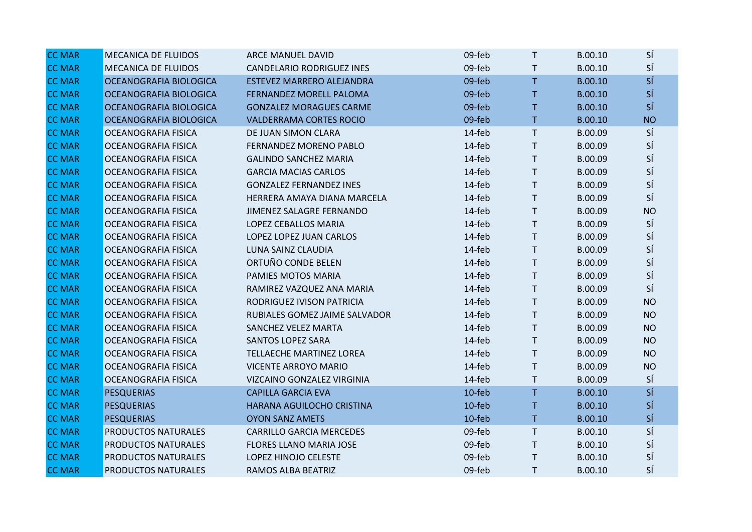| <b>CC MAR</b> | <b>MECANICA DE FLUIDOS</b> | ARCE MANUEL DAVID                | 09-feb | T            | B.00.10 | SÍ        |
|---------------|----------------------------|----------------------------------|--------|--------------|---------|-----------|
| <b>CC MAR</b> | <b>MECANICA DE FLUIDOS</b> | <b>CANDELARIO RODRIGUEZ INES</b> | 09-feb | $\mathsf{T}$ | B.00.10 | SÍ        |
| <b>CC MAR</b> | OCEANOGRAFIA BIOLOGICA     | ESTEVEZ MARRERO ALEJANDRA        | 09-feb | T            | B.00.10 | SÍ        |
| <b>CC MAR</b> | OCEANOGRAFIA BIOLOGICA     | FERNANDEZ MORELL PALOMA          | 09-feb | T            | B.00.10 | SÍ        |
| <b>CC MAR</b> | OCEANOGRAFIA BIOLOGICA     | <b>GONZALEZ MORAGUES CARME</b>   | 09-feb | T            | B.00.10 | SÍ        |
| <b>CC MAR</b> | OCEANOGRAFIA BIOLOGICA     | <b>VALDERRAMA CORTES ROCIO</b>   | 09-feb | T.           | B.00.10 | <b>NO</b> |
| <b>CC MAR</b> | OCEANOGRAFIA FISICA        | DE JUAN SIMON CLARA              | 14-feb | T.           | B.00.09 | SÍ        |
| <b>CC MAR</b> | <b>OCEANOGRAFIA FISICA</b> | FERNANDEZ MORENO PABLO           | 14-feb | T            | B.00.09 | SÍ        |
| <b>CC MAR</b> | <b>OCEANOGRAFIA FISICA</b> | <b>GALINDO SANCHEZ MARIA</b>     | 14-feb | T.           | B.00.09 | SÍ        |
| <b>CC MAR</b> | OCEANOGRAFIA FISICA        | <b>GARCIA MACIAS CARLOS</b>      | 14-feb | T.           | B.00.09 | SÍ        |
| <b>CC MAR</b> | <b>OCEANOGRAFIA FISICA</b> | <b>GONZALEZ FERNANDEZ INES</b>   | 14-feb | T.           | B.00.09 | SÍ        |
| <b>CC MAR</b> | <b>OCEANOGRAFIA FISICA</b> | HERRERA AMAYA DIANA MARCELA      | 14-feb | T            | B.00.09 | SÍ        |
| <b>CC MAR</b> | <b>OCEANOGRAFIA FISICA</b> | JIMENEZ SALAGRE FERNANDO         | 14-feb | T.           | B.00.09 | <b>NO</b> |
| <b>CC MAR</b> | OCEANOGRAFIA FISICA        | LOPEZ CEBALLOS MARIA             | 14-feb | T.           | B.00.09 | SÍ        |
| <b>CC MAR</b> | <b>OCEANOGRAFIA FISICA</b> | LOPEZ LOPEZ JUAN CARLOS          | 14-feb | T.           | B.00.09 | SÍ        |
| <b>CC MAR</b> | <b>OCEANOGRAFIA FISICA</b> | LUNA SAINZ CLAUDIA               | 14-feb | T            | B.00.09 | SÍ        |
| <b>CC MAR</b> | <b>OCEANOGRAFIA FISICA</b> | ORTUÑO CONDE BELEN               | 14-feb | T.           | B.00.09 | SÍ        |
| <b>CC MAR</b> | <b>OCEANOGRAFIA FISICA</b> | PAMIES MOTOS MARIA               | 14-feb | T            | B.00.09 | SÍ        |
| <b>CC MAR</b> | <b>OCEANOGRAFIA FISICA</b> | RAMIREZ VAZQUEZ ANA MARIA        | 14-feb | T.           | B.00.09 | SÍ        |
| <b>CC MAR</b> | <b>OCEANOGRAFIA FISICA</b> | RODRIGUEZ IVISON PATRICIA        | 14-feb | T            | B.00.09 | <b>NO</b> |
| <b>CC MAR</b> | <b>OCEANOGRAFIA FISICA</b> | RUBIALES GOMEZ JAIME SALVADOR    | 14-feb | T.           | B.00.09 | <b>NO</b> |
| <b>CC MAR</b> | OCEANOGRAFIA FISICA        | SANCHEZ VELEZ MARTA              | 14-feb | T.           | B.00.09 | <b>NO</b> |
| <b>CC MAR</b> | <b>OCEANOGRAFIA FISICA</b> | <b>SANTOS LOPEZ SARA</b>         | 14-feb | T.           | B.00.09 | <b>NO</b> |
| <b>CC MAR</b> | <b>OCEANOGRAFIA FISICA</b> | TELLAECHE MARTINEZ LOREA         | 14-feb | T            | B.00.09 | <b>NO</b> |
| <b>CC MAR</b> | <b>OCEANOGRAFIA FISICA</b> | <b>VICENTE ARROYO MARIO</b>      | 14-feb | T.           | B.00.09 | <b>NO</b> |
| <b>CC MAR</b> | <b>OCEANOGRAFIA FISICA</b> | VIZCAINO GONZALEZ VIRGINIA       | 14-feb | T            | B.00.09 | SÍ        |
| <b>CC MAR</b> | <b>PESQUERIAS</b>          | <b>CAPILLA GARCIA EVA</b>        | 10-feb | T.           | B.00.10 | SÍ        |
| <b>CC MAR</b> | <b>PESQUERIAS</b>          | HARANA AGUILOCHO CRISTINA        | 10-feb | Τ            | B.00.10 | SÍ        |
| <b>CC MAR</b> | <b>PESQUERIAS</b>          | <b>OYON SANZ AMETS</b>           | 10-feb | T.           | B.00.10 | SÍ        |
| <b>CC MAR</b> | PRODUCTOS NATURALES        | <b>CARRILLO GARCIA MERCEDES</b>  | 09-feb | T            | B.00.10 | SÍ        |
| <b>CC MAR</b> | PRODUCTOS NATURALES        | <b>FLORES LLANO MARIA JOSE</b>   | 09-feb | T            | B.00.10 | SÍ        |
| <b>CC MAR</b> | PRODUCTOS NATURALES        | LOPEZ HINOJO CELESTE             | 09-feb | T.           | B.00.10 | SÍ        |
| <b>CC MAR</b> | PRODUCTOS NATURALES        | RAMOS ALBA BEATRIZ               | 09-feb | T.           | B.00.10 | SÍ        |